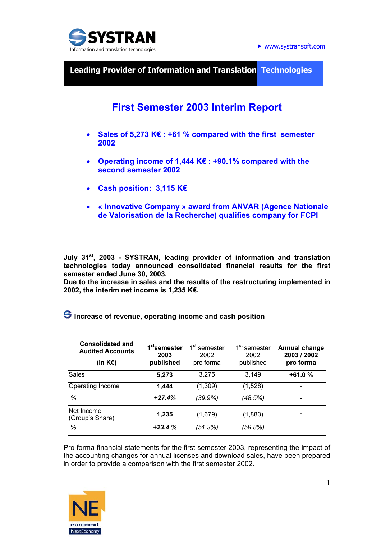

 $\blacktriangleright$  www.systransoft.com

**Leading Provider of Information and Translation Technologies** 

# **First Semester 2003 Interim Report**

- **Sales of 5,273 K€ : +61 % compared with the first semester 2002**
- **Operating income of 1,444 K€ : +90.1% compared with the second semester 2002**
- **Cash position: 3,115 K€**
- **« Innovative Company » award from ANVAR (Agence Nationale de Valorisation de la Recherche) qualifies company for FCPI**

**July 31st, 2003 - SYSTRAN, leading provider of information and translation technologies today announced consolidated financial results for the first semester ended June 30, 2003.** 

**Due to the increase in sales and the results of the restructuring implemented in 2002, the interim net income is 1,235 K€.** 

| <b>Consolidated and</b><br><b>Audited Accounts</b><br>(In K $\varepsilon$ ) | 1 <sup>st</sup> semester<br>2003<br>published | 1 <sup>st</sup> semester<br>2002<br>pro forma | 1 <sup>st</sup> semester<br>2002<br>published | <b>Annual change</b><br>2003 / 2002<br>pro forma |  |
|-----------------------------------------------------------------------------|-----------------------------------------------|-----------------------------------------------|-----------------------------------------------|--------------------------------------------------|--|
| <b>Sales</b>                                                                | 5,273                                         | 3,275                                         | 3,149                                         | $+61.0%$                                         |  |
| Operating Income                                                            | 1,444                                         | (1,309)                                       | (1,528)                                       |                                                  |  |
| %                                                                           | $+27.4%$                                      | (39.9%)                                       | (48.5%)                                       | -                                                |  |
| Net Income<br>(Group's Share)                                               | 1,235                                         | (1,679)                                       | (1,883)                                       |                                                  |  |
| %                                                                           | $+23.4%$                                      | (51.3%)                                       | (59.8%)                                       |                                                  |  |

 **Increase of revenue, operating income and cash position** 

Pro forma financial statements for the first semester 2003, representing the impact of the accounting changes for annual licenses and download sales, have been prepared in order to provide a comparison with the first semester 2002.

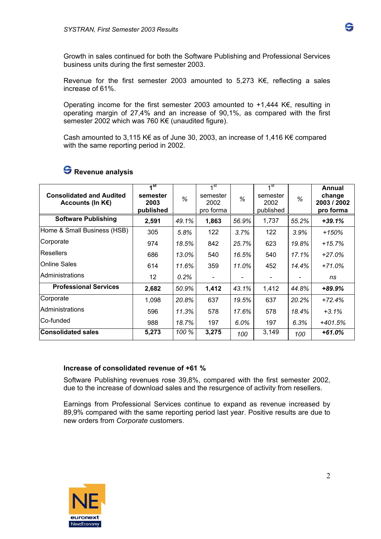Growth in sales continued for both the Software Publishing and Professional Services business units during the first semester 2003.

Revenue for the first semester 2003 amounted to 5,273 K€, reflecting a sales increase of 61%.

Operating income for the first semester 2003 amounted to +1,444 K€, resulting in operating margin of 27,4% and an increase of 90,1%, as compared with the first semester 2002 which was 760 K€ (unaudited figure).

Cash amounted to 3,115 K€ as of June 30, 2003, an increase of 1,416 K€ compared with the same reporting period in 2002.

| <b>Consolidated and Audited</b><br>Accounts (In $K \in \Sigma$ ) | 1 <sup>st</sup><br>semester<br>2003<br>published | %     | $1$ st<br>semester<br>2002<br>pro forma | %     | $4$ st<br>semester<br>2002<br>published | %     | Annual<br>change<br>2003 / 2002<br>pro forma |
|------------------------------------------------------------------|--------------------------------------------------|-------|-----------------------------------------|-------|-----------------------------------------|-------|----------------------------------------------|
| <b>Software Publishing</b>                                       | 2,591                                            | 49.1% | 1,863                                   | 56.9% | 1,737                                   | 55.2% | $+39.1%$                                     |
| Home & Small Business (HSB)                                      | 305                                              | 5.8%  | 122                                     | 3.7%  | 122                                     | 3.9%  | $+150%$                                      |
| Corporate                                                        | 974                                              | 18.5% | 842                                     | 25.7% | 623                                     | 19.8% | $+15.7%$                                     |
| <b>Resellers</b>                                                 | 686                                              | 13.0% | 540                                     | 16.5% | 540                                     | 17.1% | $+27.0\%$                                    |
| <b>Online Sales</b>                                              | 614                                              | 11.6% | 359                                     | 11.0% | 452                                     | 14.4% | $+71.0%$                                     |
| Administrations                                                  | 12 <sup>2</sup>                                  | 0.2%  |                                         |       |                                         |       | ns                                           |
| <b>Professional Services</b>                                     | 2,682                                            | 50.9% | 1,412                                   | 43.1% | 1,412                                   | 44.8% | +89.9%                                       |
| Corporate                                                        | 1,098                                            | 20.8% | 637                                     | 19.5% | 637                                     | 20.2% | $+72.4%$                                     |
| Administrations                                                  | 596                                              | 11.3% | 578                                     | 17.6% | 578                                     | 18.4% | $+3.1\%$                                     |
| Co-funded                                                        | 988                                              | 18.7% | 197                                     | 6.0%  | 197                                     | 6.3%  | $+401.5%$                                    |
| <b>Consolidated sales</b>                                        | 5,273                                            | 100 % | 3,275                                   | 100   | 3,149                                   | 100   | +61.0%                                       |

# **Revenue analysis**

#### **Increase of consolidated revenue of +61 %**

Software Publishing revenues rose 39,8%, compared with the first semester 2002, due to the increase of download sales and the resurgence of activity from resellers.

Earnings from Professional Services continue to expand as revenue increased by 89,9% compared with the same reporting period last year. Positive results are due to new orders from *Corporate* customers.



G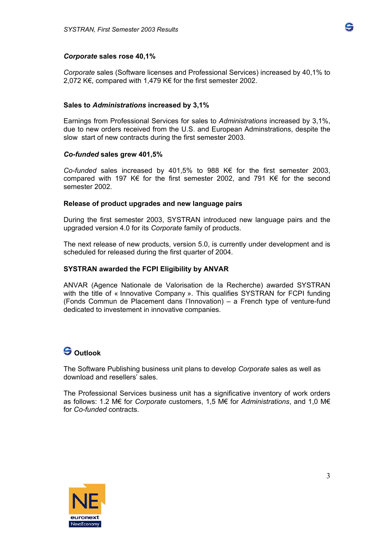

*Corporate* sales (Software licenses and Professional Services) increased by 40,1% to 2,072 K€, compared with 1,479 K€ for the first semester 2002.

### **Sales to** *Administrations* **increased by 3,1%**

Earnings from Professional Services for sales to *Administrations* increased by 3,1%, due to new orders received from the U.S. and European Adminstrations, despite the slow start of new contracts during the first semester 2003.

### *Co-funded* **sales grew 401,5%**

*Co-funded* sales increased by 401,5% to 988 K€ for the first semester 2003, compared with 197 K€ for the first semester 2002, and 791 K€ for the second semester 2002.

#### **Release of product upgrades and new language pairs**

During the first semester 2003, SYSTRAN introduced new language pairs and the upgraded version 4.0 for its *Corporate* family of products.

The next release of new products, version 5.0, is currently under development and is scheduled for released during the first quarter of 2004.

## **SYSTRAN awarded the FCPI Eligibility by ANVAR**

ANVAR (Agence Nationale de Valorisation de la Recherche) awarded SYSTRAN with the title of « Innovative Company ». This qualifies SYSTRAN for FCPI funding (Fonds Commun de Placement dans l'Innovation) – a French type of venture-fund dedicated to investement in innovative companies.

# **Outlook**

The Software Publishing business unit plans to develop *Corporate* sales as well as download and resellers' sales.

The Professional Services business unit has a significative inventory of work orders as follows: 1.2 M€ for *Corporate* customers, 1,5 M€ for *Administrations*, and 1,0 M€ for *Co-funded* contracts.



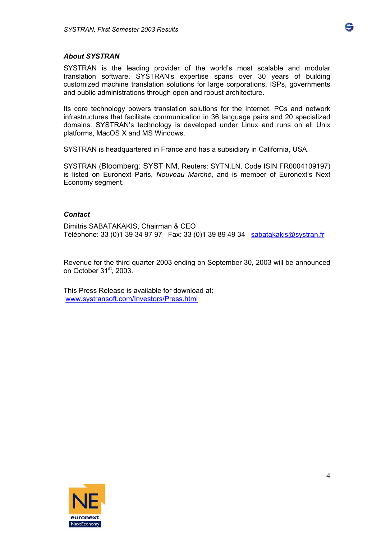#### *About SYSTRAN*

SYSTRAN is the leading provider of the world's most scalable and modular translation software. SYSTRAN's expertise spans over 30 years of building customized machine translation solutions for large corporations, ISPs, governments and public administrations through open and robust architecture.

Its core technology powers translation solutions for the Internet, PCs and network infrastructures that facilitate communication in 36 language pairs and 20 specialized domains. SYSTRAN's technology is developed under Linux and runs on all Unix platforms, MacOS X and MS Windows.

SYSTRAN is headquartered in France and has a subsidiary in California, USA.

SYSTRAN (Bloomberg: SYST NM, Reuters: SYTN.LN, Code ISIN FR0004109197) is listed on Euronext Paris, *Nouveau Marché*, and is member of Euronext's Next Economy segment.

#### *Contact*

Dimitris SABATAKAKIS, Chairman & CEO Téléphone: 33 (0)1 39 34 97 97 Fax: 33 (0)1 39 89 49 34 sabatakakis@systran.fr

Revenue for the third quarter 2003 ending on September 30, 2003 will be announced on October 31<sup>st</sup>, 2003.

This Press Release is available for download at: www.systransoft.com/Investors/Press.html



4